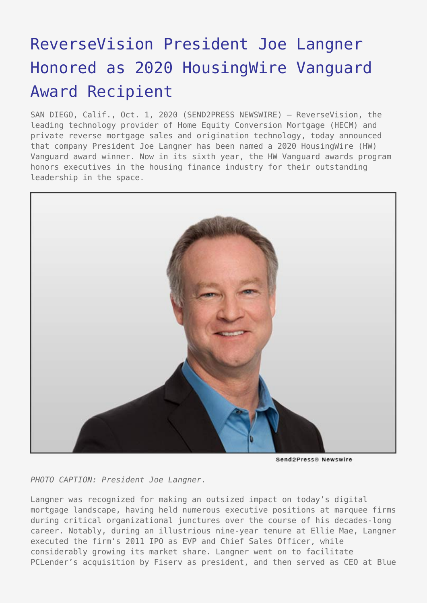## [ReverseVision President Joe Langner](https://www.send2press.com/wire/reversevision-president-joe-langner-honored-as-2020-housingwire-vanguard-award-recipient/) [Honored as 2020 HousingWire Vanguard](https://www.send2press.com/wire/reversevision-president-joe-langner-honored-as-2020-housingwire-vanguard-award-recipient/) [Award Recipient](https://www.send2press.com/wire/reversevision-president-joe-langner-honored-as-2020-housingwire-vanguard-award-recipient/)

SAN DIEGO, Calif., Oct. 1, 2020 (SEND2PRESS NEWSWIRE) — ReverseVision, the leading technology provider of Home Equity Conversion Mortgage (HECM) and private reverse mortgage sales and origination technology, today announced that company President Joe Langner has been named a 2020 HousingWire (HW) Vanguard award winner. Now in its sixth year, the HW Vanguard awards program honors executives in the housing finance industry for their outstanding leadership in the space.



Send2Press® Newswire

*PHOTO CAPTION: President Joe Langner.*

Langner was recognized for making an outsized impact on today's digital mortgage landscape, having held numerous executive positions at marquee firms during critical organizational junctures over the course of his decades-long career. Notably, during an illustrious nine-year tenure at Ellie Mae, Langner executed the firm's 2011 IPO as EVP and Chief Sales Officer, while considerably growing its market share. Langner went on to facilitate PCLender's acquisition by Fiserv as president, and then served as CEO at Blue